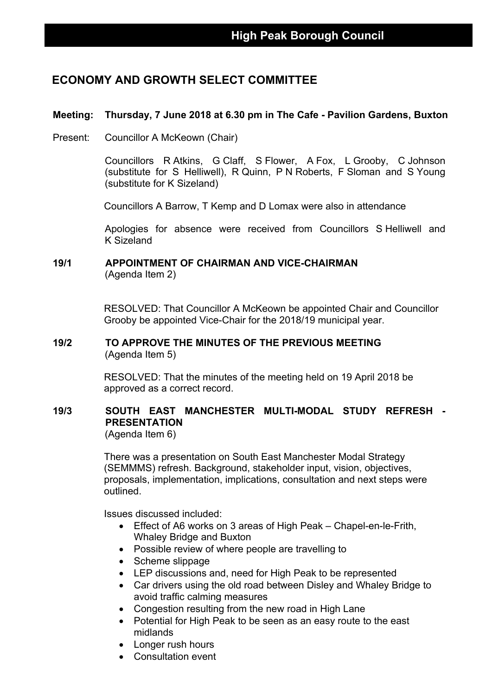## **ECONOMY AND GROWTH SELECT COMMITTEE**

## **Meeting: Thursday, 7 June 2018 at 6.30 pm in The Cafe - Pavilion Gardens, Buxton**

Present: Councillor A McKeown (Chair)

Councillors R Atkins, G Claff, S Flower, A Fox, L Grooby, C Johnson (substitute for S Helliwell), R Quinn, P N Roberts, F Sloman and S Young (substitute for K Sizeland)

Councillors A Barrow, T Kemp and D Lomax were also in attendance

Apologies for absence were received from Councillors S Helliwell and K Sizeland

## **19/1 APPOINTMENT OF CHAIRMAN AND VICE-CHAIRMAN** (Agenda Item 2)

RESOLVED: That Councillor A McKeown be appointed Chair and Councillor Grooby be appointed Vice-Chair for the 2018/19 municipal year.

#### **19/2 TO APPROVE THE MINUTES OF THE PREVIOUS MEETING** (Agenda Item 5)

RESOLVED: That the minutes of the meeting held on 19 April 2018 be approved as a correct record.

## **19/3 SOUTH EAST MANCHESTER MULTI-MODAL STUDY REFRESH - PRESENTATION**

(Agenda Item 6)

There was a presentation on South East Manchester Modal Strategy (SEMMMS) refresh. Background, stakeholder input, vision, objectives, proposals, implementation, implications, consultation and next steps were outlined.

Issues discussed included:

- Effect of A6 works on 3 areas of High Peak Chapel-en-le-Frith, Whaley Bridge and Buxton
- Possible review of where people are travelling to
- Scheme slippage
- LEP discussions and, need for High Peak to be represented
- Car drivers using the old road between Disley and Whaley Bridge to avoid traffic calming measures
- Congestion resulting from the new road in High Lane
- Potential for High Peak to be seen as an easy route to the east midlands
- Longer rush hours
- Consultation event